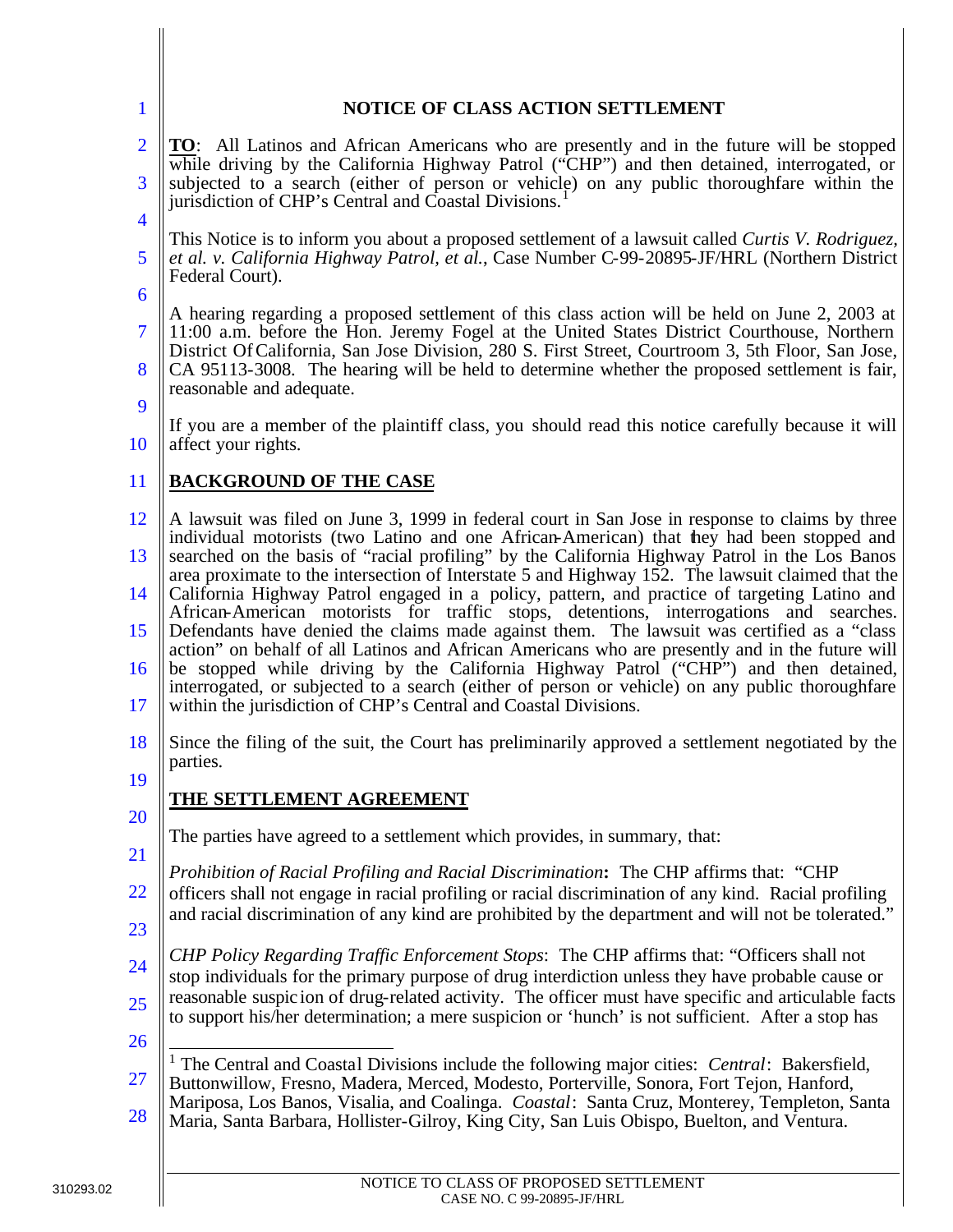| NOTICE OF CLASS ACTION SETTLEMENT                                                                                                                                                                                                                                                                                                                                                                                                                                                                                                                                                                                                                                                                                                                                                                                                                                                                                                                                                                                                                          |
|------------------------------------------------------------------------------------------------------------------------------------------------------------------------------------------------------------------------------------------------------------------------------------------------------------------------------------------------------------------------------------------------------------------------------------------------------------------------------------------------------------------------------------------------------------------------------------------------------------------------------------------------------------------------------------------------------------------------------------------------------------------------------------------------------------------------------------------------------------------------------------------------------------------------------------------------------------------------------------------------------------------------------------------------------------|
| <b>TO:</b> All Latinos and African Americans who are presently and in the future will be stopped<br>while driving by the California Highway Patrol ("CHP") and then detained, interrogated, or<br>subjected to a search (either of person or vehicle) on any public thoroughfare within the<br>jurisdiction of CHP's Central and Coastal Divisions.                                                                                                                                                                                                                                                                                                                                                                                                                                                                                                                                                                                                                                                                                                        |
| This Notice is to inform you about a proposed settlement of a lawsuit called Curtis V. Rodriguez,<br>et al. v. California Highway Patrol, et al., Case Number C-99-20895-JF/HRL (Northern District<br>Federal Court).                                                                                                                                                                                                                                                                                                                                                                                                                                                                                                                                                                                                                                                                                                                                                                                                                                      |
| A hearing regarding a proposed settlement of this class action will be held on June 2, 2003 at<br>11:00 a.m. before the Hon. Jeremy Fogel at the United States District Courthouse, Northern<br>District Of California, San Jose Division, 280 S. First Street, Courtroom 3, 5th Floor, San Jose,<br>CA 95113-3008. The hearing will be held to determine whether the proposed settlement is fair,<br>reasonable and adequate.                                                                                                                                                                                                                                                                                                                                                                                                                                                                                                                                                                                                                             |
| If you are a member of the plaintiff class, you should read this notice carefully because it will<br>affect your rights.                                                                                                                                                                                                                                                                                                                                                                                                                                                                                                                                                                                                                                                                                                                                                                                                                                                                                                                                   |
| <b>BACKGROUND OF THE CASE</b>                                                                                                                                                                                                                                                                                                                                                                                                                                                                                                                                                                                                                                                                                                                                                                                                                                                                                                                                                                                                                              |
| A lawsuit was filed on June 3, 1999 in federal court in San Jose in response to claims by three<br>individual motorists (two Latino and one African-American) that they had been stopped and<br>searched on the basis of "racial profiling" by the California Highway Patrol in the Los Banos<br>area proximate to the intersection of Interstate 5 and Highway 152. The lawsuit claimed that the<br>California Highway Patrol engaged in a policy, pattern, and practice of targeting Latino and<br>African-American motorists for traffic stops, detentions, interrogations and searches.<br>Defendants have denied the claims made against them. The lawsuit was certified as a "class<br>action" on behalf of all Latinos and African Americans who are presently and in the future will<br>be stopped while driving by the California Highway Patrol ("CHP") and then detained,<br>interrogated, or subjected to a search (either of person or vehicle) on any public thoroughfare<br>within the jurisdiction of CHP's Central and Coastal Divisions. |
| Since the filing of the suit, the Court has preliminarily approved a settlement negotiated by the<br>parties.                                                                                                                                                                                                                                                                                                                                                                                                                                                                                                                                                                                                                                                                                                                                                                                                                                                                                                                                              |
| THE SETTLEMENT AGREEMENT                                                                                                                                                                                                                                                                                                                                                                                                                                                                                                                                                                                                                                                                                                                                                                                                                                                                                                                                                                                                                                   |
| The parties have agreed to a settlement which provides, in summary, that:                                                                                                                                                                                                                                                                                                                                                                                                                                                                                                                                                                                                                                                                                                                                                                                                                                                                                                                                                                                  |
| Prohibition of Racial Profiling and Racial Discrimination: The CHP affirms that: "CHP<br>officers shall not engage in racial profiling or racial discrimination of any kind. Racial profiling<br>and racial discrimination of any kind are prohibited by the department and will not be tolerated."                                                                                                                                                                                                                                                                                                                                                                                                                                                                                                                                                                                                                                                                                                                                                        |
| CHP Policy Regarding Traffic Enforcement Stops: The CHP affirms that: "Officers shall not<br>stop individuals for the primary purpose of drug interdiction unless they have probable cause or<br>reasonable suspicion of drug-related activity. The officer must have specific and articulable facts<br>to support his/her determination; a mere suspicion or 'hunch' is not sufficient. After a stop has                                                                                                                                                                                                                                                                                                                                                                                                                                                                                                                                                                                                                                                  |
| The Central and Coastal Divisions include the following major cities: Central: Bakersfield,<br>Buttonwillow, Fresno, Madera, Merced, Modesto, Porterville, Sonora, Fort Tejon, Hanford,<br>Mariposa, Los Banos, Visalia, and Coalinga. Coastal: Santa Cruz, Monterey, Templeton, Santa<br>Maria, Santa Barbara, Hollister-Gilroy, King City, San Luis Obispo, Buelton, and Ventura.                                                                                                                                                                                                                                                                                                                                                                                                                                                                                                                                                                                                                                                                        |
|                                                                                                                                                                                                                                                                                                                                                                                                                                                                                                                                                                                                                                                                                                                                                                                                                                                                                                                                                                                                                                                            |

 $\mathbf{I}$ 

 $\bigg\|$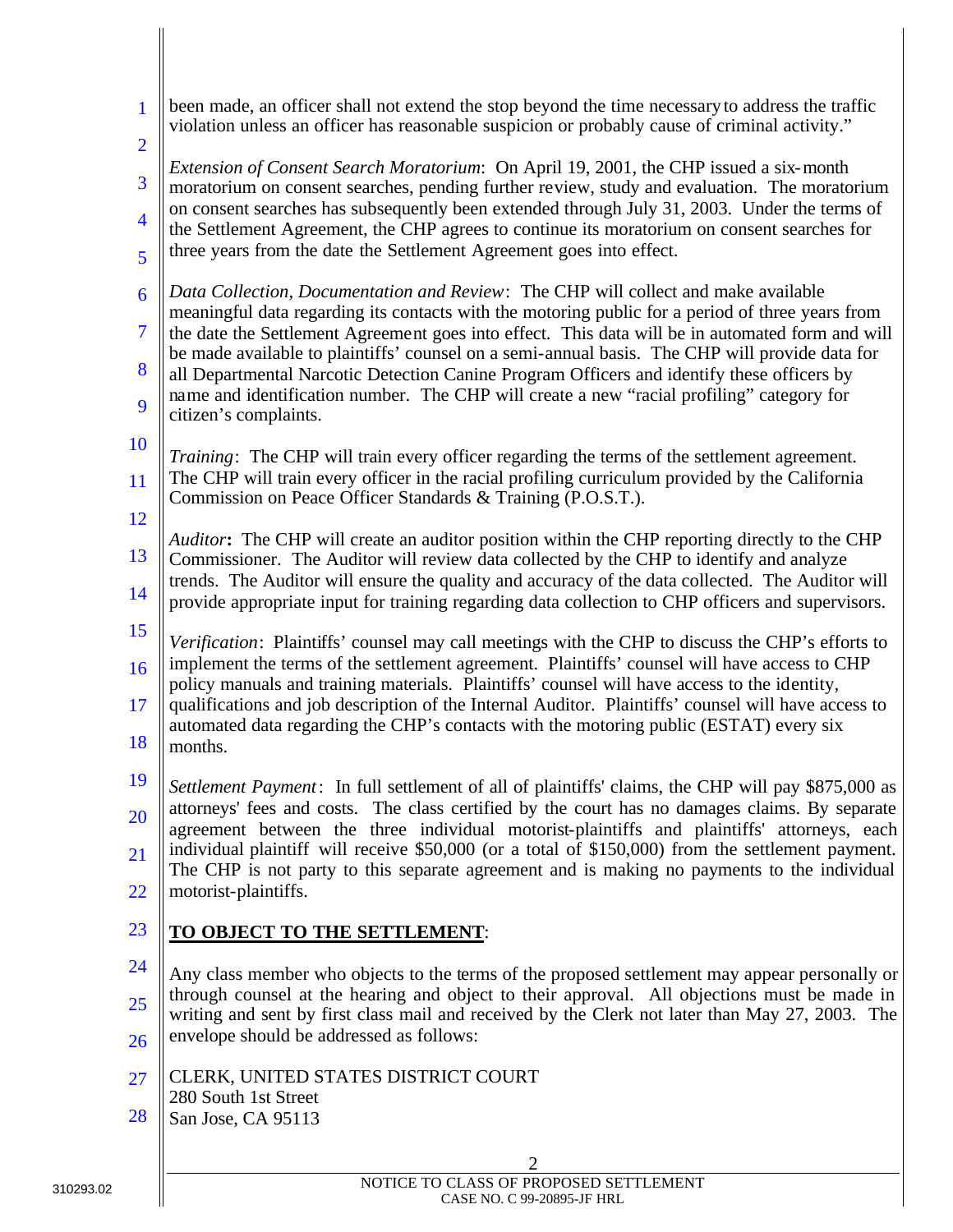| $\mathbf{1}$                                                                                                                                                                                     | been made, an officer shall not extend the stop beyond the time necessary to address the traffic<br>violation unless an officer has reasonable suspicion or probably cause of criminal activity."                |
|--------------------------------------------------------------------------------------------------------------------------------------------------------------------------------------------------|------------------------------------------------------------------------------------------------------------------------------------------------------------------------------------------------------------------|
| $\overline{2}$                                                                                                                                                                                   | Extension of Consent Search Moratorium: On April 19, 2001, the CHP issued a six-month                                                                                                                            |
| 3<br>on consent searches has subsequently been extended through July 31, 2003. Under the terms of<br>$\overline{4}$<br>three years from the date the Settlement Agreement goes into effect.<br>5 | moratorium on consent searches, pending further review, study and evaluation. The moratorium                                                                                                                     |
|                                                                                                                                                                                                  | the Settlement Agreement, the CHP agrees to continue its moratorium on consent searches for                                                                                                                      |
|                                                                                                                                                                                                  |                                                                                                                                                                                                                  |
| 6<br>meaningful data regarding its contacts with the motoring public for a period of three years from<br>$\overline{7}$<br>8                                                                     | Data Collection, Documentation and Review: The CHP will collect and make available                                                                                                                               |
|                                                                                                                                                                                                  | the date the Settlement Agreement goes into effect. This data will be in automated form and will                                                                                                                 |
|                                                                                                                                                                                                  | be made available to plaintiffs' counsel on a semi-annual basis. The CHP will provide data for                                                                                                                   |
| 9                                                                                                                                                                                                | all Departmental Narcotic Detection Canine Program Officers and identify these officers by<br>name and identification number. The CHP will create a new "racial profiling" category for<br>citizen's complaints. |
| 10                                                                                                                                                                                               | Training: The CHP will train every officer regarding the terms of the settlement agreement.                                                                                                                      |
| <b>11</b>                                                                                                                                                                                        | The CHP will train every officer in the racial profiling curriculum provided by the California                                                                                                                   |
| 12                                                                                                                                                                                               | Commission on Peace Officer Standards & Training (P.O.S.T.).                                                                                                                                                     |
| 13                                                                                                                                                                                               | Auditor: The CHP will create an auditor position within the CHP reporting directly to the CHP<br>Commissioner. The Auditor will review data collected by the CHP to identify and analyze                         |
| 14                                                                                                                                                                                               | trends. The Auditor will ensure the quality and accuracy of the data collected. The Auditor will<br>provide appropriate input for training regarding data collection to CHP officers and supervisors.            |
| 15<br>Verification: Plaintiffs' counsel may call meetings with the CHP to discuss the CHP's efforts to<br>16                                                                                     |                                                                                                                                                                                                                  |
|                                                                                                                                                                                                  | implement the terms of the settlement agreement. Plaintiffs' counsel will have access to CHP                                                                                                                     |
| 17                                                                                                                                                                                               | policy manuals and training materials. Plaintiffs' counsel will have access to the identity,<br>qualifications and job description of the Internal Auditor. Plaintiffs' counsel will have access to              |
| 18                                                                                                                                                                                               | automated data regarding the CHP's contacts with the motoring public (ESTAT) every six<br>months.                                                                                                                |
| 19<br>20                                                                                                                                                                                         | Settlement Payment: In full settlement of all of plaintiffs' claims, the CHP will pay \$875,000 as                                                                                                               |
|                                                                                                                                                                                                  | attorneys' fees and costs. The class certified by the court has no damages claims. By separate<br>agreement between the three individual motorist-plaintiffs and plaintiffs' attorneys, each                     |
| 21                                                                                                                                                                                               | individual plaintiff will receive \$50,000 (or a total of \$150,000) from the settlement payment.<br>The CHP is not party to this separate agreement and is making no payments to the individual                 |
| 22                                                                                                                                                                                               | motorist-plaintiffs.                                                                                                                                                                                             |
| 23                                                                                                                                                                                               | TO OBJECT TO THE SETTLEMENT:                                                                                                                                                                                     |
| 24                                                                                                                                                                                               | Any class member who objects to the terms of the proposed settlement may appear personally or                                                                                                                    |
| 25                                                                                                                                                                                               | through counsel at the hearing and object to their approval. All objections must be made in<br>writing and sent by first class mail and received by the Clerk not later than May 27, 2003. The                   |
| 26                                                                                                                                                                                               | envelope should be addressed as follows:                                                                                                                                                                         |
| 27                                                                                                                                                                                               | CLERK, UNITED STATES DISTRICT COURT                                                                                                                                                                              |
| 28                                                                                                                                                                                               | 280 South 1st Street<br>San Jose, CA 95113                                                                                                                                                                       |
|                                                                                                                                                                                                  |                                                                                                                                                                                                                  |
|                                                                                                                                                                                                  | 2                                                                                                                                                                                                                |

 $\parallel$